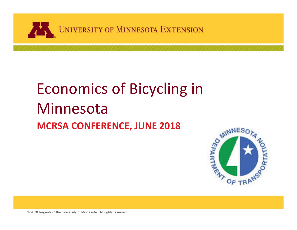

#### Economics of Bicycling in Minnesota**MCRSA CONFERENCE, JUNE 2018**

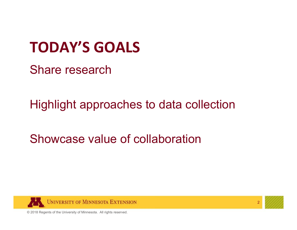#### **TODAY'S GOALS**

Share research

Highlight approaches to data collection

Showcase value of collaboration





2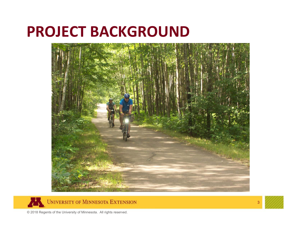#### **PROJECT BACKGROUND**







3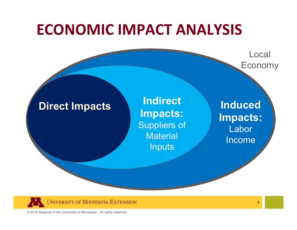#### **ECONOMIC IMPACT ANALYSIS**

Local Economy

**Direct Impacts Indirect Impacts:** Suppliers of Material **Inputs** 

**Induced Impacts:** Labor Income





4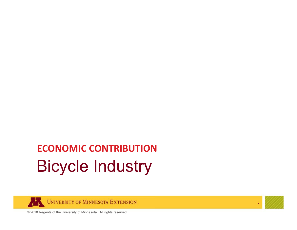#### Bicycle Industry **ECONOMIC CONTRIBUTION**





5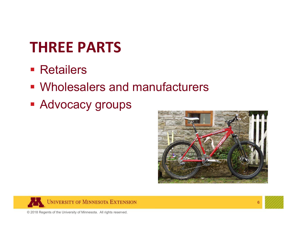#### **THREE PARTS**

- **Retailers**
- Wholesalers and manufacturers
- **Advocacy groups**







6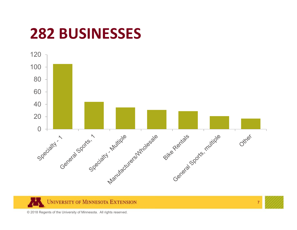#### **282 BUSINESSES**





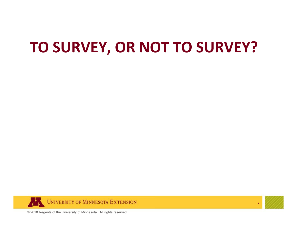#### **TO SURVEY, OR NOT TO SURVEY?**





8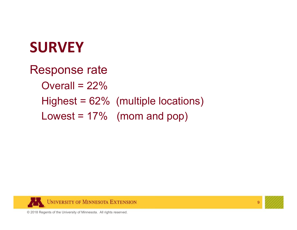#### **SURVEY**

Response rate Overall =  $22\%$ Highest = 62% (multiple locations) Lowest =  $17\%$  (mom and pop)





9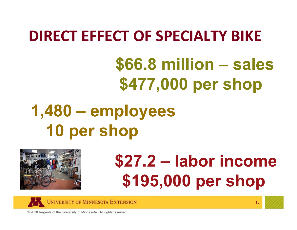#### **DIRECT EFFECT OF SPECIALTY BIKE**

**\$66.8 million – sales \$477,000 per shop**

# **1,480 – employees 10 per shop**



# **\$27.2 – labor income \$195,000 per shop**



10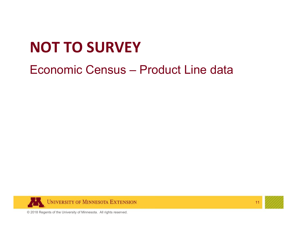### **NOT TO SURVEY**

#### Economic Census – Product Line data





11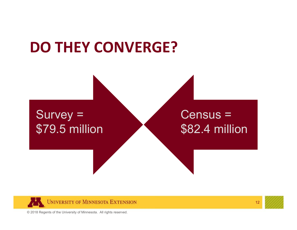#### **DO THEY CONVERGE?**

#### Survey = \$79.5 million

#### Census = \$82.4 million





12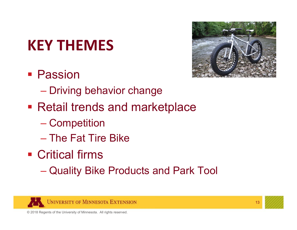# **KEY THEMES**

**• Passion** 



- $\mathcal{L}_{\mathcal{A}}$  , the state of the state  $\mathcal{L}_{\mathcal{A}}$ – Driving behavior change
- **Retail trends and marketplace** 
	- –Competition
	- The Fat Tire Bike
- Critical firms
	- –Quality Bike Products and Park Tool





13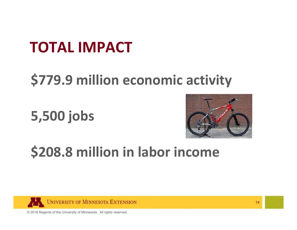#### **TOTAL IMPACT**

#### **\$779.9 million economic activity**

**5,500 jobs**



#### **\$208.8 million in labor income**



14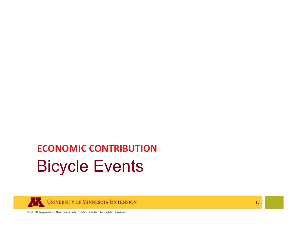#### Bicycle Events **ECONOMIC CONTRIBUTION**



15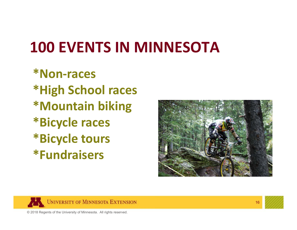### **100 EVENTS IN MINNESOTA**

**\*Non‐races\*High School races \*Mountain biking \*Bicycle races \*Bicycle tours \*Fundraisers**







16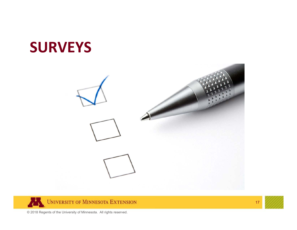#### **SURVEYS**





17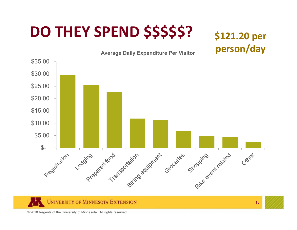# **DO THEY SPEND \$\$\$\$\$?**

#### **\$121.20 per person/day**





18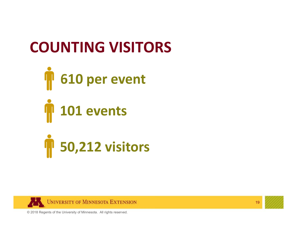#### **COUNTING VISITORS**





19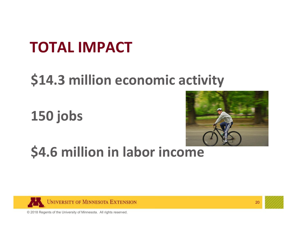#### **TOTAL IMPACT**

#### **\$14.3 million economic activity**

**150 jobs**



#### **\$4.6 million in labor income**



20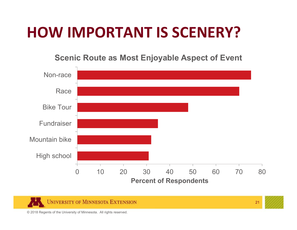#### **HOW IMPORTANT IS SCENERY?**

**Scenic Route as Most Enjoyable Aspect of Event**





21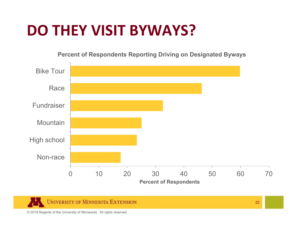#### **DO THEY VISIT BYWAYS?**

**Percent of Respondents Reporting Driving on Designated Byways**





22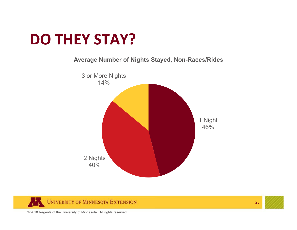#### **DO THEY STAY?**

#### **Average Number of Nights Stayed, Non-Races/Rides**





23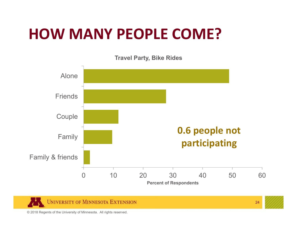#### **HOW MANY PEOPLE COME?**

**Travel Party, Bike Rides**



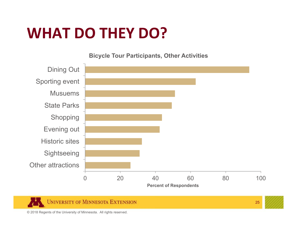#### **WHAT DO THEY DO?**

**Bicycle Tour Participants, Other Activities**



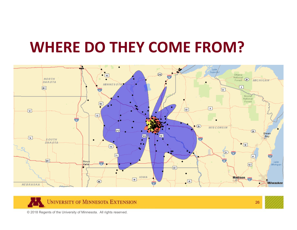#### **WHERE DO THEY COME FROM?**





26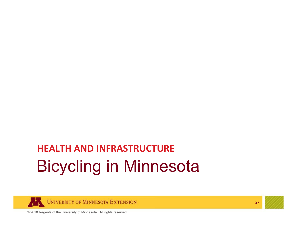#### Bicycling in Minnesota **HEALTH AND INFRASTRUCTURE**



27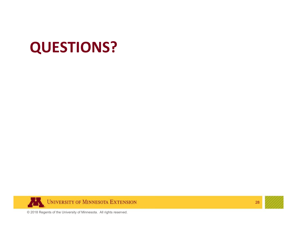



28